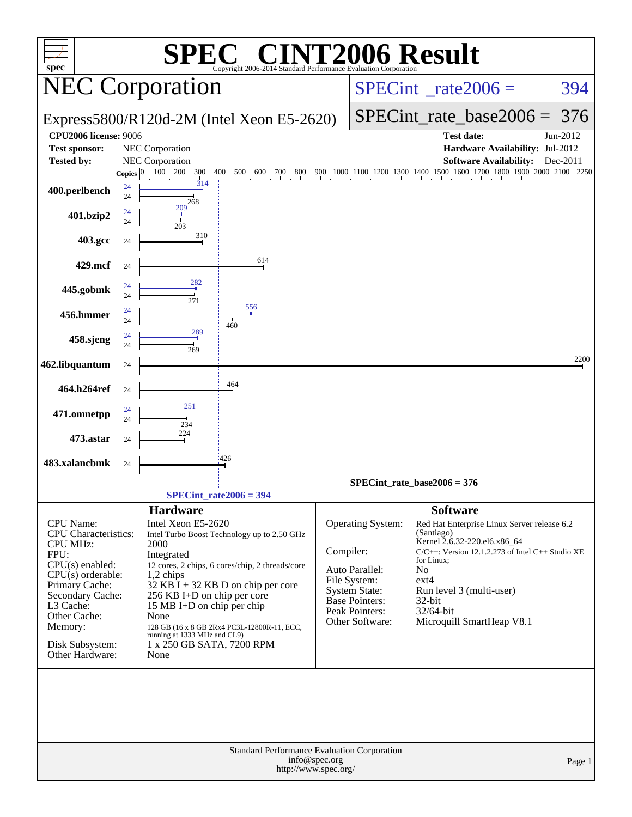|                                         |               |                                   | <b>SPEC<sup>®</sup> CINT2006 Result</b>                                       |                                          |                                               |                              |                                                                                                                                 |          |
|-----------------------------------------|---------------|-----------------------------------|-------------------------------------------------------------------------------|------------------------------------------|-----------------------------------------------|------------------------------|---------------------------------------------------------------------------------------------------------------------------------|----------|
| $spec^*$                                |               | <b>NEC Corporation</b>            | Copyright 2006-2014 Standard Performance Evaluation Corporation               | $SPECint^{\circ}$ <sub>_rate2006</sub> = |                                               |                              | 394                                                                                                                             |          |
|                                         |               |                                   | Express5800/R120d-2M (Intel Xeon E5-2620)                                     |                                          |                                               | $SPECint$ rate_base2006 =    | 376                                                                                                                             |          |
| <b>CPU2006</b> license: 9006            |               |                                   |                                                                               |                                          |                                               |                              | <b>Test date:</b>                                                                                                               | Jun-2012 |
| <b>Test sponsor:</b>                    |               | NEC Corporation                   |                                                                               |                                          |                                               |                              | Hardware Availability: Jul-2012                                                                                                 |          |
| <b>Tested by:</b>                       |               | NEC Corporation                   |                                                                               |                                          |                                               |                              | <b>Software Availability:</b>                                                                                                   | Dec-2011 |
|                                         | <b>Copies</b> | 100 200<br>300<br>314             | 400<br>500<br>600<br>700<br>$0\begin{array}{c}800\end{array}$ $\frac{900}{1}$ | 900                                      |                                               |                              | $1000 \quad 1100 \quad 1200 \quad 1300 \quad 1400 \quad 1500 \quad 1600 \quad 1700 \quad 1800 \quad 1900 \quad 2000 \quad 2100$ | 2250     |
| 400.perlbench                           | 24<br>24      |                                   |                                                                               |                                          |                                               |                              |                                                                                                                                 |          |
|                                         | 24            | 268<br>209                        |                                                                               |                                          |                                               |                              |                                                                                                                                 |          |
| 401.bzip2                               | 24            | 203                               |                                                                               |                                          |                                               |                              |                                                                                                                                 |          |
| 403.gcc                                 | 24            | 310                               |                                                                               |                                          |                                               |                              |                                                                                                                                 |          |
|                                         |               |                                   |                                                                               |                                          |                                               |                              |                                                                                                                                 |          |
| 429.mcf                                 | 24            |                                   | 614                                                                           |                                          |                                               |                              |                                                                                                                                 |          |
|                                         |               | 282                               |                                                                               |                                          |                                               |                              |                                                                                                                                 |          |
| 445.gobmk                               | 24<br>24      |                                   |                                                                               |                                          |                                               |                              |                                                                                                                                 |          |
|                                         | 24            | 271                               | 556                                                                           |                                          |                                               |                              |                                                                                                                                 |          |
| 456.hmmer                               | 24            |                                   | 460                                                                           |                                          |                                               |                              |                                                                                                                                 |          |
| 458.sjeng                               | 24            | 289                               |                                                                               |                                          |                                               |                              |                                                                                                                                 |          |
|                                         | 24            | 269                               |                                                                               |                                          |                                               |                              |                                                                                                                                 |          |
| 462.libquantum                          | 24            |                                   |                                                                               |                                          |                                               |                              |                                                                                                                                 | 2200     |
|                                         |               |                                   | 464                                                                           |                                          |                                               |                              |                                                                                                                                 |          |
| 464.h264ref                             | 24            |                                   |                                                                               |                                          |                                               |                              |                                                                                                                                 |          |
| 471.omnetpp                             | 24            | 251                               |                                                                               |                                          |                                               |                              |                                                                                                                                 |          |
|                                         | 24            | 234                               |                                                                               |                                          |                                               |                              |                                                                                                                                 |          |
| 473.astar                               | 24            | 224                               |                                                                               |                                          |                                               |                              |                                                                                                                                 |          |
|                                         |               |                                   |                                                                               |                                          |                                               |                              |                                                                                                                                 |          |
| 483.xalancbmk                           | 24            |                                   | 426                                                                           |                                          |                                               |                              |                                                                                                                                 |          |
|                                         |               |                                   |                                                                               |                                          | SPECint rate base $2006 = 376$                |                              |                                                                                                                                 |          |
|                                         |               |                                   | $SPECint rate2006 = 394$                                                      |                                          |                                               |                              |                                                                                                                                 |          |
|                                         |               | <b>Hardware</b>                   |                                                                               |                                          |                                               | <b>Software</b>              |                                                                                                                                 |          |
| <b>CPU</b> Name:                        |               | Intel Xeon E5-2620                |                                                                               |                                          | Operating System:                             |                              | Red Hat Enterprise Linux Server release 6.2                                                                                     |          |
| CPU Characteristics:<br><b>CPU MHz:</b> |               | 2000                              | Intel Turbo Boost Technology up to 2.50 GHz                                   |                                          |                                               | (Santiago)                   | Kernel 2.6.32-220.el6.x86_64                                                                                                    |          |
| FPU:                                    |               | Integrated                        |                                                                               | Compiler:                                |                                               |                              | $C/C++$ : Version 12.1.2.273 of Intel $C++$ Studio XE                                                                           |          |
| $CPU(s)$ enabled:                       |               |                                   | 12 cores, 2 chips, 6 cores/chip, 2 threads/core                               |                                          | Auto Parallel:                                | for Linux;<br>N <sub>o</sub> |                                                                                                                                 |          |
| $CPU(s)$ orderable:<br>Primary Cache:   |               | $1,2$ chips                       | $32$ KB $\bar{1}$ + 32 KB D on chip per core                                  |                                          | File System:                                  | ext4                         |                                                                                                                                 |          |
| Secondary Cache:                        |               | 256 KB I+D on chip per core       |                                                                               |                                          | <b>System State:</b><br><b>Base Pointers:</b> | 32-bit                       | Run level 3 (multi-user)                                                                                                        |          |
| L3 Cache:                               |               | 15 MB I+D on chip per chip        |                                                                               |                                          | Peak Pointers:                                | 32/64-bit                    |                                                                                                                                 |          |
| Other Cache:<br>Memory:                 |               | None                              | 128 GB (16 x 8 GB 2Rx4 PC3L-12800R-11, ECC,                                   |                                          | Other Software:                               |                              | Microquill SmartHeap V8.1                                                                                                       |          |
|                                         |               | running at 1333 MHz and CL9)      |                                                                               |                                          |                                               |                              |                                                                                                                                 |          |
| Disk Subsystem:<br>Other Hardware:      |               | 1 x 250 GB SATA, 7200 RPM<br>None |                                                                               |                                          |                                               |                              |                                                                                                                                 |          |
|                                         |               |                                   |                                                                               |                                          |                                               |                              |                                                                                                                                 |          |
|                                         |               |                                   |                                                                               |                                          |                                               |                              |                                                                                                                                 |          |
|                                         |               |                                   |                                                                               |                                          |                                               |                              |                                                                                                                                 |          |
|                                         |               |                                   |                                                                               |                                          |                                               |                              |                                                                                                                                 |          |
|                                         |               |                                   |                                                                               |                                          |                                               |                              |                                                                                                                                 |          |
|                                         |               |                                   |                                                                               |                                          |                                               |                              |                                                                                                                                 |          |
|                                         |               |                                   | Standard Performance Evaluation Corporation                                   | info@spec.org                            |                                               |                              |                                                                                                                                 |          |
|                                         |               |                                   | http://www.spec.org/                                                          |                                          |                                               |                              |                                                                                                                                 | Page 1   |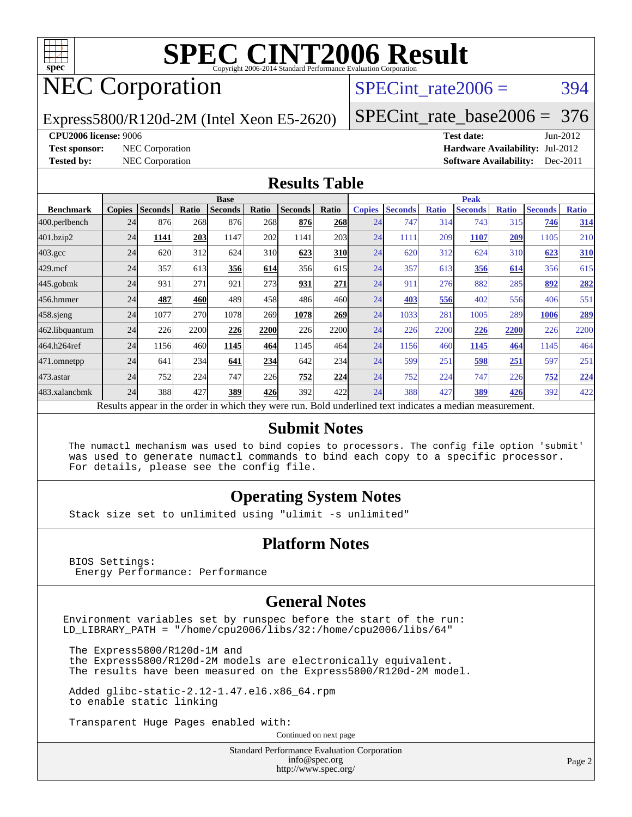

# NEC Corporation

SPECint rate $2006 = 394$ 

Express5800/R120d-2M (Intel Xeon E5-2620)

[SPECint\\_rate\\_base2006 =](http://www.spec.org/auto/cpu2006/Docs/result-fields.html#SPECintratebase2006) 376

**[CPU2006 license:](http://www.spec.org/auto/cpu2006/Docs/result-fields.html#CPU2006license)** 9006 **[Test date:](http://www.spec.org/auto/cpu2006/Docs/result-fields.html#Testdate)** Jun-2012 **[Test sponsor:](http://www.spec.org/auto/cpu2006/Docs/result-fields.html#Testsponsor)** NEC Corporation **[Hardware Availability:](http://www.spec.org/auto/cpu2006/Docs/result-fields.html#HardwareAvailability)** Jul-2012 **[Tested by:](http://www.spec.org/auto/cpu2006/Docs/result-fields.html#Testedby)** NEC Corporation **[Software Availability:](http://www.spec.org/auto/cpu2006/Docs/result-fields.html#SoftwareAvailability)** Dec-2011

#### **[Results Table](http://www.spec.org/auto/cpu2006/Docs/result-fields.html#ResultsTable)**

|                                                                                                          | <b>Base</b>   |                |       |                |                 |                |             | <b>Peak</b>   |                |              |                |              |                |              |
|----------------------------------------------------------------------------------------------------------|---------------|----------------|-------|----------------|-----------------|----------------|-------------|---------------|----------------|--------------|----------------|--------------|----------------|--------------|
| <b>Benchmark</b>                                                                                         | <b>Copies</b> | <b>Seconds</b> | Ratio | <b>Seconds</b> | Ratio           | <b>Seconds</b> | Ratio       | <b>Copies</b> | <b>Seconds</b> | <b>Ratio</b> | <b>Seconds</b> | <b>Ratio</b> | <b>Seconds</b> | <b>Ratio</b> |
| 400.perlbench                                                                                            | 24            | 876            | 268   | 876            | 268             | 876            | 268         | 24            | 747            | 314          | 743            | 315          | 746            | 314          |
| 401.bzip2                                                                                                | 24            | 1141           | 203   | 1147           | 202             | 1141           | 203         | 24            | 1111           | 209          | 1107           | 209          | 1105           | 210          |
| $403.\mathrm{gcc}$                                                                                       | 24            | 620            | 312   | 624            | 31 <sub>0</sub> | 623            | 310         | 24            | 620            | 312          | 624            | 310          | 623            | <b>310</b>   |
| $429$ .mcf                                                                                               | 24            | 357            | 613   | 356            | 614             | 356            | 615         | 24            | 357            | 613          | 356            | 614          | 356            | 615          |
| $445$ .gobmk                                                                                             | 24            | 931            | 271   | 921            | 273             | 931            | 271         | 24            | 911            | 276          | 882            | 285          | 892            | 282          |
| 456.hmmer                                                                                                | 24            | 487            | 460   | 489            | 458             | 486            | 460         | 24            | 403            | 556          | 402            | 556          | 406            | 551          |
| $458$ .sjeng                                                                                             | 24            | 1077           | 270   | 1078           | 269             | 1078           | 269         | 24            | 1033           | 281          | 1005           | 289          | 1006           | <u>289</u>   |
| 462.libquantum                                                                                           | 24            | 226            | 2200  | 226            | 2200            | 226            | <b>2200</b> | 24            | 226            | 2200         | 226            | 2200         | 226            | 2200         |
| 464.h264ref                                                                                              | 24            | 1156           | 460   | 1145           | 464             | 1145           | 464         | 24            | 1156           | 460          | 1145           | 464          | 1145           | 464          |
| 471.omnetpp                                                                                              | 24            | 641            | 234   | 641            | 234             | 642            | 234         | 24            | 599            | 251          | 598            | 251          | 597            | 251          |
| 473.astar                                                                                                | 24            | 752            | 224   | 747            | 226             | 752            | 224         | 24            | 752            | 224          | 747            | 226          | 752            | 224          |
| 483.xalancbmk                                                                                            | 24            | 388            | 427   | 389            | 426             | 392            | 422         | 24            | 388            | 427          | 389            | 426          | 392            | 422          |
| Results appear in the order in which they were run. Bold underlined text indicates a median measurement. |               |                |       |                |                 |                |             |               |                |              |                |              |                |              |

#### **[Submit Notes](http://www.spec.org/auto/cpu2006/Docs/result-fields.html#SubmitNotes)**

 The numactl mechanism was used to bind copies to processors. The config file option 'submit' was used to generate numactl commands to bind each copy to a specific processor. For details, please see the config file.

#### **[Operating System Notes](http://www.spec.org/auto/cpu2006/Docs/result-fields.html#OperatingSystemNotes)**

Stack size set to unlimited using "ulimit -s unlimited"

#### **[Platform Notes](http://www.spec.org/auto/cpu2006/Docs/result-fields.html#PlatformNotes)**

 BIOS Settings: Energy Performance: Performance

#### **[General Notes](http://www.spec.org/auto/cpu2006/Docs/result-fields.html#GeneralNotes)**

Environment variables set by runspec before the start of the run: LD\_LIBRARY\_PATH = "/home/cpu2006/libs/32:/home/cpu2006/libs/64"

 The Express5800/R120d-1M and the Express5800/R120d-2M models are electronically equivalent. The results have been measured on the Express5800/R120d-2M model.

 Added glibc-static-2.12-1.47.el6.x86\_64.rpm to enable static linking

Transparent Huge Pages enabled with:

Continued on next page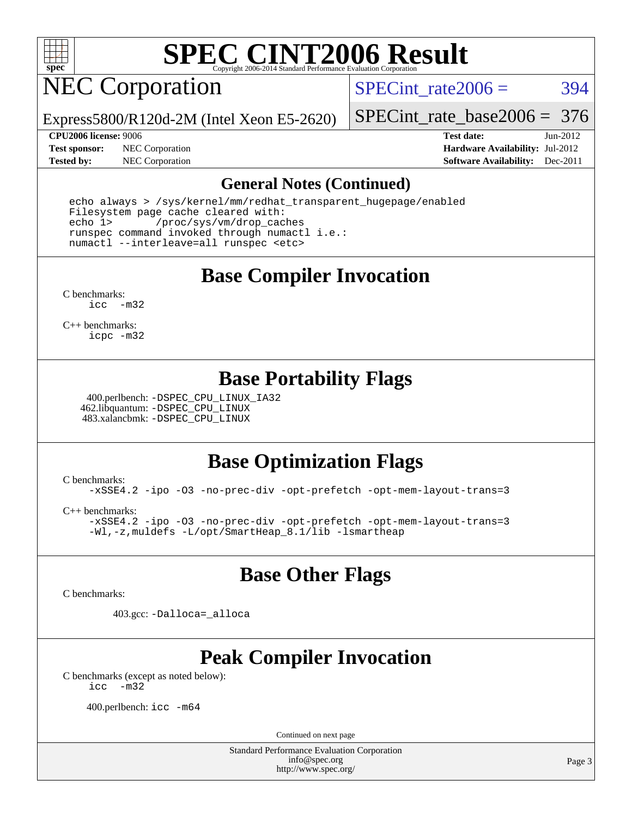

# NEC Corporation

SPECint rate $2006 = 394$ 

Express5800/R120d-2M (Intel Xeon E5-2620)

[SPECint\\_rate\\_base2006 =](http://www.spec.org/auto/cpu2006/Docs/result-fields.html#SPECintratebase2006) 376

**[Test sponsor:](http://www.spec.org/auto/cpu2006/Docs/result-fields.html#Testsponsor)** NEC Corporation **[Hardware Availability:](http://www.spec.org/auto/cpu2006/Docs/result-fields.html#HardwareAvailability)** Jul-2012

**[CPU2006 license:](http://www.spec.org/auto/cpu2006/Docs/result-fields.html#CPU2006license)** 9006 **[Test date:](http://www.spec.org/auto/cpu2006/Docs/result-fields.html#Testdate)** Jun-2012 **[Tested by:](http://www.spec.org/auto/cpu2006/Docs/result-fields.html#Testedby)** NEC Corporation **[Software Availability:](http://www.spec.org/auto/cpu2006/Docs/result-fields.html#SoftwareAvailability)** Dec-2011

#### **[General Notes \(Continued\)](http://www.spec.org/auto/cpu2006/Docs/result-fields.html#GeneralNotes)**

 echo always > /sys/kernel/mm/redhat\_transparent\_hugepage/enabled Filesystem page cache cleared with: echo 1> /proc/sys/vm/drop\_caches runspec command invoked through numactl i.e.: numactl --interleave=all runspec <etc>

**[Base Compiler Invocation](http://www.spec.org/auto/cpu2006/Docs/result-fields.html#BaseCompilerInvocation)**

[C benchmarks](http://www.spec.org/auto/cpu2006/Docs/result-fields.html#Cbenchmarks): [icc -m32](http://www.spec.org/cpu2006/results/res2012q3/cpu2006-20120712-23654.flags.html#user_CCbase_intel_icc_5ff4a39e364c98233615fdd38438c6f2)

[C++ benchmarks:](http://www.spec.org/auto/cpu2006/Docs/result-fields.html#CXXbenchmarks) [icpc -m32](http://www.spec.org/cpu2006/results/res2012q3/cpu2006-20120712-23654.flags.html#user_CXXbase_intel_icpc_4e5a5ef1a53fd332b3c49e69c3330699)

#### **[Base Portability Flags](http://www.spec.org/auto/cpu2006/Docs/result-fields.html#BasePortabilityFlags)**

 400.perlbench: [-DSPEC\\_CPU\\_LINUX\\_IA32](http://www.spec.org/cpu2006/results/res2012q3/cpu2006-20120712-23654.flags.html#b400.perlbench_baseCPORTABILITY_DSPEC_CPU_LINUX_IA32) 462.libquantum: [-DSPEC\\_CPU\\_LINUX](http://www.spec.org/cpu2006/results/res2012q3/cpu2006-20120712-23654.flags.html#b462.libquantum_baseCPORTABILITY_DSPEC_CPU_LINUX) 483.xalancbmk: [-DSPEC\\_CPU\\_LINUX](http://www.spec.org/cpu2006/results/res2012q3/cpu2006-20120712-23654.flags.html#b483.xalancbmk_baseCXXPORTABILITY_DSPEC_CPU_LINUX)

#### **[Base Optimization Flags](http://www.spec.org/auto/cpu2006/Docs/result-fields.html#BaseOptimizationFlags)**

[C benchmarks](http://www.spec.org/auto/cpu2006/Docs/result-fields.html#Cbenchmarks): [-xSSE4.2](http://www.spec.org/cpu2006/results/res2012q3/cpu2006-20120712-23654.flags.html#user_CCbase_f-xSSE42_f91528193cf0b216347adb8b939d4107) [-ipo](http://www.spec.org/cpu2006/results/res2012q3/cpu2006-20120712-23654.flags.html#user_CCbase_f-ipo) [-O3](http://www.spec.org/cpu2006/results/res2012q3/cpu2006-20120712-23654.flags.html#user_CCbase_f-O3) [-no-prec-div](http://www.spec.org/cpu2006/results/res2012q3/cpu2006-20120712-23654.flags.html#user_CCbase_f-no-prec-div) [-opt-prefetch](http://www.spec.org/cpu2006/results/res2012q3/cpu2006-20120712-23654.flags.html#user_CCbase_f-opt-prefetch) [-opt-mem-layout-trans=3](http://www.spec.org/cpu2006/results/res2012q3/cpu2006-20120712-23654.flags.html#user_CCbase_f-opt-mem-layout-trans_a7b82ad4bd7abf52556d4961a2ae94d5)

[C++ benchmarks:](http://www.spec.org/auto/cpu2006/Docs/result-fields.html#CXXbenchmarks) [-xSSE4.2](http://www.spec.org/cpu2006/results/res2012q3/cpu2006-20120712-23654.flags.html#user_CXXbase_f-xSSE42_f91528193cf0b216347adb8b939d4107) [-ipo](http://www.spec.org/cpu2006/results/res2012q3/cpu2006-20120712-23654.flags.html#user_CXXbase_f-ipo) [-O3](http://www.spec.org/cpu2006/results/res2012q3/cpu2006-20120712-23654.flags.html#user_CXXbase_f-O3) [-no-prec-div](http://www.spec.org/cpu2006/results/res2012q3/cpu2006-20120712-23654.flags.html#user_CXXbase_f-no-prec-div) [-opt-prefetch](http://www.spec.org/cpu2006/results/res2012q3/cpu2006-20120712-23654.flags.html#user_CXXbase_f-opt-prefetch) [-opt-mem-layout-trans=3](http://www.spec.org/cpu2006/results/res2012q3/cpu2006-20120712-23654.flags.html#user_CXXbase_f-opt-mem-layout-trans_a7b82ad4bd7abf52556d4961a2ae94d5) [-Wl,-z,muldefs](http://www.spec.org/cpu2006/results/res2012q3/cpu2006-20120712-23654.flags.html#user_CXXbase_link_force_multiple1_74079c344b956b9658436fd1b6dd3a8a) [-L/opt/SmartHeap\\_8.1/lib -lsmartheap](http://www.spec.org/cpu2006/results/res2012q3/cpu2006-20120712-23654.flags.html#user_CXXbase_SmartHeap_d5ba4dfc9de25d3c657c7de7476e66c5)

#### **[Base Other Flags](http://www.spec.org/auto/cpu2006/Docs/result-fields.html#BaseOtherFlags)**

[C benchmarks](http://www.spec.org/auto/cpu2006/Docs/result-fields.html#Cbenchmarks):

403.gcc: [-Dalloca=\\_alloca](http://www.spec.org/cpu2006/results/res2012q3/cpu2006-20120712-23654.flags.html#b403.gcc_baseEXTRA_CFLAGS_Dalloca_be3056838c12de2578596ca5467af7f3)

### **[Peak Compiler Invocation](http://www.spec.org/auto/cpu2006/Docs/result-fields.html#PeakCompilerInvocation)**

[C benchmarks \(except as noted below\)](http://www.spec.org/auto/cpu2006/Docs/result-fields.html#Cbenchmarksexceptasnotedbelow): [icc -m32](http://www.spec.org/cpu2006/results/res2012q3/cpu2006-20120712-23654.flags.html#user_CCpeak_intel_icc_5ff4a39e364c98233615fdd38438c6f2)

400.perlbench: [icc -m64](http://www.spec.org/cpu2006/results/res2012q3/cpu2006-20120712-23654.flags.html#user_peakCCLD400_perlbench_intel_icc_64bit_bda6cc9af1fdbb0edc3795bac97ada53)

Continued on next page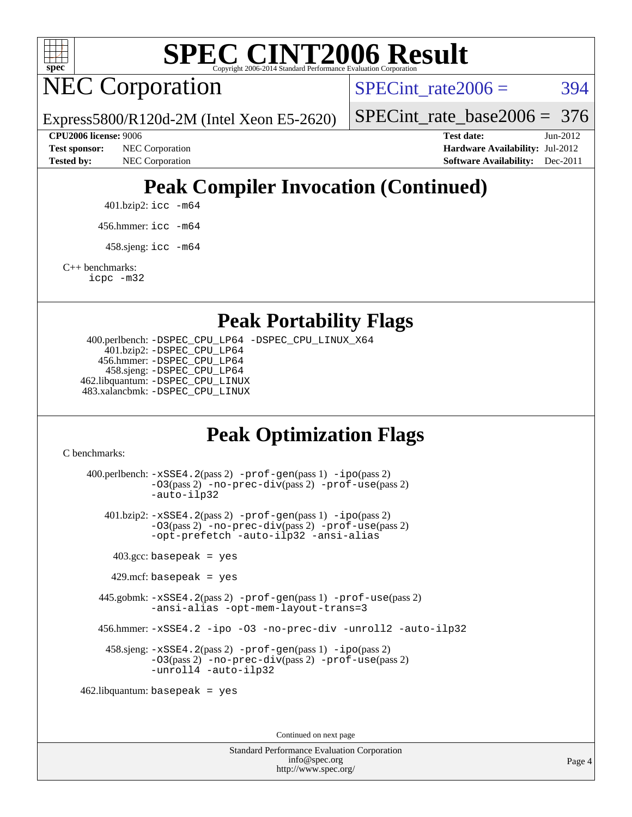

NEC Corporation

SPECint rate $2006 = 394$ 

Express5800/R120d-2M (Intel Xeon E5-2620)

[SPECint\\_rate\\_base2006 =](http://www.spec.org/auto/cpu2006/Docs/result-fields.html#SPECintratebase2006) 376

**[CPU2006 license:](http://www.spec.org/auto/cpu2006/Docs/result-fields.html#CPU2006license)** 9006 **[Test date:](http://www.spec.org/auto/cpu2006/Docs/result-fields.html#Testdate)** Jun-2012 **[Test sponsor:](http://www.spec.org/auto/cpu2006/Docs/result-fields.html#Testsponsor)** NEC Corporation **[Hardware Availability:](http://www.spec.org/auto/cpu2006/Docs/result-fields.html#HardwareAvailability)** Jul-2012 **[Tested by:](http://www.spec.org/auto/cpu2006/Docs/result-fields.html#Testedby)** NEC Corporation **[Software Availability:](http://www.spec.org/auto/cpu2006/Docs/result-fields.html#SoftwareAvailability)** Dec-2011

## **[Peak Compiler Invocation \(Continued\)](http://www.spec.org/auto/cpu2006/Docs/result-fields.html#PeakCompilerInvocation)**

401.bzip2: [icc -m64](http://www.spec.org/cpu2006/results/res2012q3/cpu2006-20120712-23654.flags.html#user_peakCCLD401_bzip2_intel_icc_64bit_bda6cc9af1fdbb0edc3795bac97ada53)

456.hmmer: [icc -m64](http://www.spec.org/cpu2006/results/res2012q3/cpu2006-20120712-23654.flags.html#user_peakCCLD456_hmmer_intel_icc_64bit_bda6cc9af1fdbb0edc3795bac97ada53)

 $458 \text{.}$ sjeng: icc  $-\text{m64}$ 

[C++ benchmarks:](http://www.spec.org/auto/cpu2006/Docs/result-fields.html#CXXbenchmarks)

[icpc -m32](http://www.spec.org/cpu2006/results/res2012q3/cpu2006-20120712-23654.flags.html#user_CXXpeak_intel_icpc_4e5a5ef1a53fd332b3c49e69c3330699)

**[Peak Portability Flags](http://www.spec.org/auto/cpu2006/Docs/result-fields.html#PeakPortabilityFlags)**

 400.perlbench: [-DSPEC\\_CPU\\_LP64](http://www.spec.org/cpu2006/results/res2012q3/cpu2006-20120712-23654.flags.html#b400.perlbench_peakCPORTABILITY_DSPEC_CPU_LP64) [-DSPEC\\_CPU\\_LINUX\\_X64](http://www.spec.org/cpu2006/results/res2012q3/cpu2006-20120712-23654.flags.html#b400.perlbench_peakCPORTABILITY_DSPEC_CPU_LINUX_X64) 401.bzip2: [-DSPEC\\_CPU\\_LP64](http://www.spec.org/cpu2006/results/res2012q3/cpu2006-20120712-23654.flags.html#suite_peakCPORTABILITY401_bzip2_DSPEC_CPU_LP64) 456.hmmer: [-DSPEC\\_CPU\\_LP64](http://www.spec.org/cpu2006/results/res2012q3/cpu2006-20120712-23654.flags.html#suite_peakCPORTABILITY456_hmmer_DSPEC_CPU_LP64) 458.sjeng: [-DSPEC\\_CPU\\_LP64](http://www.spec.org/cpu2006/results/res2012q3/cpu2006-20120712-23654.flags.html#suite_peakCPORTABILITY458_sjeng_DSPEC_CPU_LP64) 462.libquantum: [-DSPEC\\_CPU\\_LINUX](http://www.spec.org/cpu2006/results/res2012q3/cpu2006-20120712-23654.flags.html#b462.libquantum_peakCPORTABILITY_DSPEC_CPU_LINUX) 483.xalancbmk: [-DSPEC\\_CPU\\_LINUX](http://www.spec.org/cpu2006/results/res2012q3/cpu2006-20120712-23654.flags.html#b483.xalancbmk_peakCXXPORTABILITY_DSPEC_CPU_LINUX)

### **[Peak Optimization Flags](http://www.spec.org/auto/cpu2006/Docs/result-fields.html#PeakOptimizationFlags)**

[C benchmarks](http://www.spec.org/auto/cpu2006/Docs/result-fields.html#Cbenchmarks):

 400.perlbench: [-xSSE4.2](http://www.spec.org/cpu2006/results/res2012q3/cpu2006-20120712-23654.flags.html#user_peakPASS2_CFLAGSPASS2_LDCFLAGS400_perlbench_f-xSSE42_f91528193cf0b216347adb8b939d4107)(pass 2) [-prof-gen](http://www.spec.org/cpu2006/results/res2012q3/cpu2006-20120712-23654.flags.html#user_peakPASS1_CFLAGSPASS1_LDCFLAGS400_perlbench_prof_gen_e43856698f6ca7b7e442dfd80e94a8fc)(pass 1) [-ipo](http://www.spec.org/cpu2006/results/res2012q3/cpu2006-20120712-23654.flags.html#user_peakPASS2_CFLAGSPASS2_LDCFLAGS400_perlbench_f-ipo)(pass 2) [-O3](http://www.spec.org/cpu2006/results/res2012q3/cpu2006-20120712-23654.flags.html#user_peakPASS2_CFLAGSPASS2_LDCFLAGS400_perlbench_f-O3)(pass 2) [-no-prec-div](http://www.spec.org/cpu2006/results/res2012q3/cpu2006-20120712-23654.flags.html#user_peakPASS2_CFLAGSPASS2_LDCFLAGS400_perlbench_f-no-prec-div)(pass 2) [-prof-use](http://www.spec.org/cpu2006/results/res2012q3/cpu2006-20120712-23654.flags.html#user_peakPASS2_CFLAGSPASS2_LDCFLAGS400_perlbench_prof_use_bccf7792157ff70d64e32fe3e1250b55)(pass 2) [-auto-ilp32](http://www.spec.org/cpu2006/results/res2012q3/cpu2006-20120712-23654.flags.html#user_peakCOPTIMIZE400_perlbench_f-auto-ilp32) 401.bzip2: [-xSSE4.2](http://www.spec.org/cpu2006/results/res2012q3/cpu2006-20120712-23654.flags.html#user_peakPASS2_CFLAGSPASS2_LDCFLAGS401_bzip2_f-xSSE42_f91528193cf0b216347adb8b939d4107)(pass 2) [-prof-gen](http://www.spec.org/cpu2006/results/res2012q3/cpu2006-20120712-23654.flags.html#user_peakPASS1_CFLAGSPASS1_LDCFLAGS401_bzip2_prof_gen_e43856698f6ca7b7e442dfd80e94a8fc)(pass 1) [-ipo](http://www.spec.org/cpu2006/results/res2012q3/cpu2006-20120712-23654.flags.html#user_peakPASS2_CFLAGSPASS2_LDCFLAGS401_bzip2_f-ipo)(pass 2) [-O3](http://www.spec.org/cpu2006/results/res2012q3/cpu2006-20120712-23654.flags.html#user_peakPASS2_CFLAGSPASS2_LDCFLAGS401_bzip2_f-O3)(pass 2) [-no-prec-div](http://www.spec.org/cpu2006/results/res2012q3/cpu2006-20120712-23654.flags.html#user_peakPASS2_CFLAGSPASS2_LDCFLAGS401_bzip2_f-no-prec-div)(pass 2) [-prof-use](http://www.spec.org/cpu2006/results/res2012q3/cpu2006-20120712-23654.flags.html#user_peakPASS2_CFLAGSPASS2_LDCFLAGS401_bzip2_prof_use_bccf7792157ff70d64e32fe3e1250b55)(pass 2) [-opt-prefetch](http://www.spec.org/cpu2006/results/res2012q3/cpu2006-20120712-23654.flags.html#user_peakCOPTIMIZE401_bzip2_f-opt-prefetch) [-auto-ilp32](http://www.spec.org/cpu2006/results/res2012q3/cpu2006-20120712-23654.flags.html#user_peakCOPTIMIZE401_bzip2_f-auto-ilp32) [-ansi-alias](http://www.spec.org/cpu2006/results/res2012q3/cpu2006-20120712-23654.flags.html#user_peakCOPTIMIZE401_bzip2_f-ansi-alias)  $403.\text{gcc: basepeak}$  = yes  $429$ .mcf: basepeak = yes 445.gobmk: [-xSSE4.2](http://www.spec.org/cpu2006/results/res2012q3/cpu2006-20120712-23654.flags.html#user_peakPASS2_CFLAGSPASS2_LDCFLAGS445_gobmk_f-xSSE42_f91528193cf0b216347adb8b939d4107)(pass 2) [-prof-gen](http://www.spec.org/cpu2006/results/res2012q3/cpu2006-20120712-23654.flags.html#user_peakPASS1_CFLAGSPASS1_LDCFLAGS445_gobmk_prof_gen_e43856698f6ca7b7e442dfd80e94a8fc)(pass 1) [-prof-use](http://www.spec.org/cpu2006/results/res2012q3/cpu2006-20120712-23654.flags.html#user_peakPASS2_CFLAGSPASS2_LDCFLAGS445_gobmk_prof_use_bccf7792157ff70d64e32fe3e1250b55)(pass 2) [-ansi-alias](http://www.spec.org/cpu2006/results/res2012q3/cpu2006-20120712-23654.flags.html#user_peakCOPTIMIZE445_gobmk_f-ansi-alias) [-opt-mem-layout-trans=3](http://www.spec.org/cpu2006/results/res2012q3/cpu2006-20120712-23654.flags.html#user_peakCOPTIMIZE445_gobmk_f-opt-mem-layout-trans_a7b82ad4bd7abf52556d4961a2ae94d5) 456.hmmer: [-xSSE4.2](http://www.spec.org/cpu2006/results/res2012q3/cpu2006-20120712-23654.flags.html#user_peakCOPTIMIZE456_hmmer_f-xSSE42_f91528193cf0b216347adb8b939d4107) [-ipo](http://www.spec.org/cpu2006/results/res2012q3/cpu2006-20120712-23654.flags.html#user_peakCOPTIMIZE456_hmmer_f-ipo) [-O3](http://www.spec.org/cpu2006/results/res2012q3/cpu2006-20120712-23654.flags.html#user_peakCOPTIMIZE456_hmmer_f-O3) [-no-prec-div](http://www.spec.org/cpu2006/results/res2012q3/cpu2006-20120712-23654.flags.html#user_peakCOPTIMIZE456_hmmer_f-no-prec-div) [-unroll2](http://www.spec.org/cpu2006/results/res2012q3/cpu2006-20120712-23654.flags.html#user_peakCOPTIMIZE456_hmmer_f-unroll_784dae83bebfb236979b41d2422d7ec2) [-auto-ilp32](http://www.spec.org/cpu2006/results/res2012q3/cpu2006-20120712-23654.flags.html#user_peakCOPTIMIZE456_hmmer_f-auto-ilp32) 458.sjeng: [-xSSE4.2](http://www.spec.org/cpu2006/results/res2012q3/cpu2006-20120712-23654.flags.html#user_peakPASS2_CFLAGSPASS2_LDCFLAGS458_sjeng_f-xSSE42_f91528193cf0b216347adb8b939d4107)(pass 2) [-prof-gen](http://www.spec.org/cpu2006/results/res2012q3/cpu2006-20120712-23654.flags.html#user_peakPASS1_CFLAGSPASS1_LDCFLAGS458_sjeng_prof_gen_e43856698f6ca7b7e442dfd80e94a8fc)(pass 1) [-ipo](http://www.spec.org/cpu2006/results/res2012q3/cpu2006-20120712-23654.flags.html#user_peakPASS2_CFLAGSPASS2_LDCFLAGS458_sjeng_f-ipo)(pass 2) [-O3](http://www.spec.org/cpu2006/results/res2012q3/cpu2006-20120712-23654.flags.html#user_peakPASS2_CFLAGSPASS2_LDCFLAGS458_sjeng_f-O3)(pass 2) [-no-prec-div](http://www.spec.org/cpu2006/results/res2012q3/cpu2006-20120712-23654.flags.html#user_peakPASS2_CFLAGSPASS2_LDCFLAGS458_sjeng_f-no-prec-div)(pass 2) [-prof-use](http://www.spec.org/cpu2006/results/res2012q3/cpu2006-20120712-23654.flags.html#user_peakPASS2_CFLAGSPASS2_LDCFLAGS458_sjeng_prof_use_bccf7792157ff70d64e32fe3e1250b55)(pass 2) [-unroll4](http://www.spec.org/cpu2006/results/res2012q3/cpu2006-20120712-23654.flags.html#user_peakCOPTIMIZE458_sjeng_f-unroll_4e5e4ed65b7fd20bdcd365bec371b81f) [-auto-ilp32](http://www.spec.org/cpu2006/results/res2012q3/cpu2006-20120712-23654.flags.html#user_peakCOPTIMIZE458_sjeng_f-auto-ilp32) 462.libquantum: basepeak = yes

Continued on next page